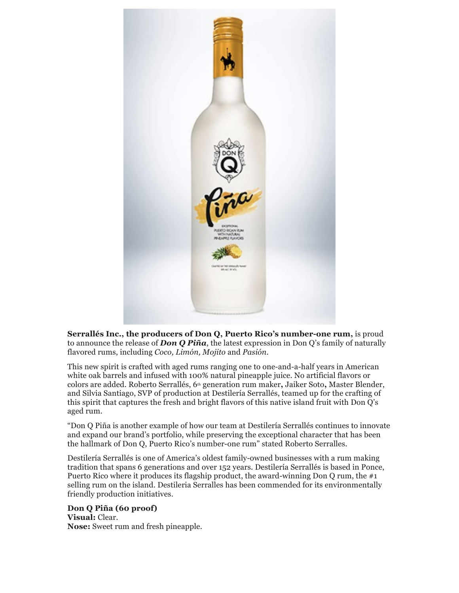

**Serrallés Inc., the producers of Don Q, Puerto Rico's number-one rum,** is proud to announce the release of *Don Q Piña*, the latest expression in Don Q's family of naturally flavored rums, including *Coco, Limón, Mojito* and *Pasión*.

This new spirit is crafted with aged rums ranging one to one-and-a-half years in American white oak barrels and infused with 100% natural pineapple juice. No artificial flavors or colors are added. Roberto Serrallés, 6th generation rum maker**,** Jaiker Soto**,** Master Blender, and Silvia Santiago, SVP of production at Destilería Serrallés, teamed up for the crafting of this spirit that captures the fresh and bright flavors of this native island fruit with Don Q's aged rum.

"Don Q Piña is another example of how our team at Destilería Serrallés continues to innovate and expand our brand's portfolio, while preserving the exceptional character that has been the hallmark of Don Q, Puerto Rico's number-one rum" stated Roberto Serralles.

Destilería Serrallés is one of America's oldest family-owned businesses with a rum making tradition that spans 6 generations and over 152 years. Destilería Serrallés is based in Ponce, Puerto Rico where it produces its flagship product, the award-winning Don O rum, the  $\#1$ selling rum on the island. Destileria Serralles has been commended for its environmentally friendly production initiatives.

## **Don Q Piña (60 proof)**

**Visual:** Clear. **Nose:** Sweet rum and fresh pineapple.